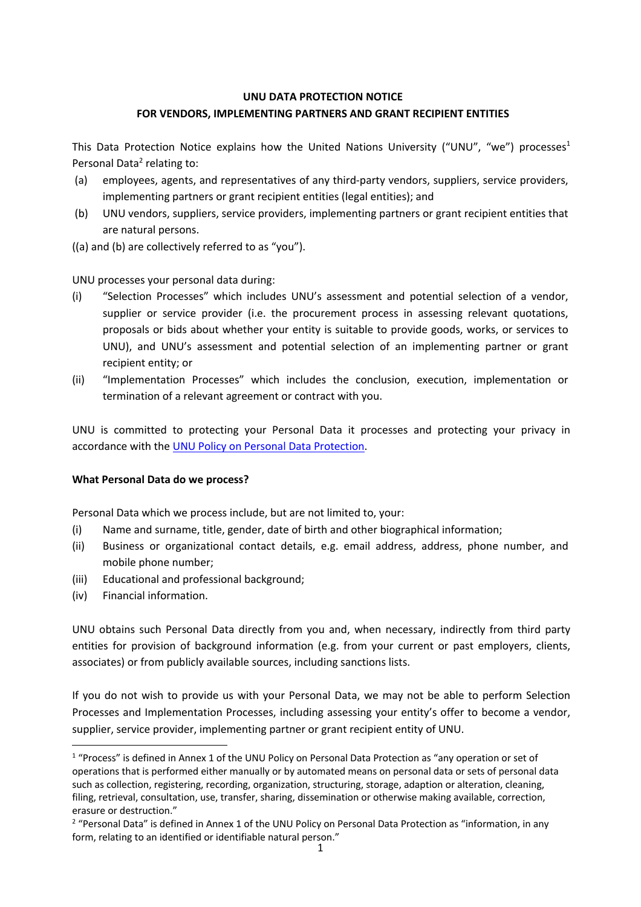# **UNU DATA PROTECTION NOTICE FOR VENDORS, IMPLEMENTING PARTNERS AND GRANT RECIPIENT ENTITIES**

This Data Protection Notice explains how the United Nations University ("UNU", "we") processes<sup>1</sup> Personal Data<sup>2</sup> relating to:

- (a) employees, agents, and representatives of any third-party vendors, suppliers, service providers, implementing partners or grant recipient entities (legal entities); and
- (b) UNU vendors, suppliers, service providers, implementing partners or grant recipient entities that are natural persons.
- ((a) and (b) are collectively referred to as "you").

UNU processes your personal data during:

- (i) "Selection Processes" which includes UNU's assessment and potential selection of a vendor, supplier or service provider (i.e. the procurement process in assessing relevant quotations, proposals or bids about whether your entity is suitable to provide goods, works, or services to UNU), and UNU's assessment and potential selection of an implementing partner or grant recipient entity; or
- (ii) "Implementation Processes" which includes the conclusion, execution, implementation or termination of a relevant agreement or contract with you.

UNU is committed to protecting your Personal Data it processes and protecting your privacy in accordance with the UNU Policy on Personal Data Protection.

# **What Personal Data do we process?**

Personal Data which we process include, but are not limited to, your:

- (i) Name and surname, title, gender, date of birth and other biographical information;
- (ii) Business or organizational contact details, e.g. email address, address, phone number, and mobile phone number;
- (iii) Educational and professional background;
- (iv) Financial information.

UNU obtains such Personal Data directly from you and, when necessary, indirectly from third party entities for provision of background information (e.g. from your current or past employers, clients, associates) or from publicly available sources, including sanctions lists.

If you do not wish to provide us with your Personal Data, we may not be able to perform Selection Processes and Implementation Processes, including assessing your entity's offer to become a vendor, supplier, service provider, implementing partner or grant recipient entity of UNU.

<sup>&</sup>lt;sup>1</sup> "Process" is defined in Annex 1 of the UNU Policy on Personal Data Protection as "any operation or set of operations that is performed either manually or by automated means on personal data or sets of personal data such as collection, registering, recording, organization, structuring, storage, adaption or alteration, cleaning, filing, retrieval, consultation, use, transfer, sharing, dissemination or otherwise making available, correction, erasure or destruction."

<sup>&</sup>lt;sup>2</sup> "Personal Data" is defined in Annex 1 of the UNU Policy on Personal Data Protection as "information, in any form, relating to an identified or identifiable natural person."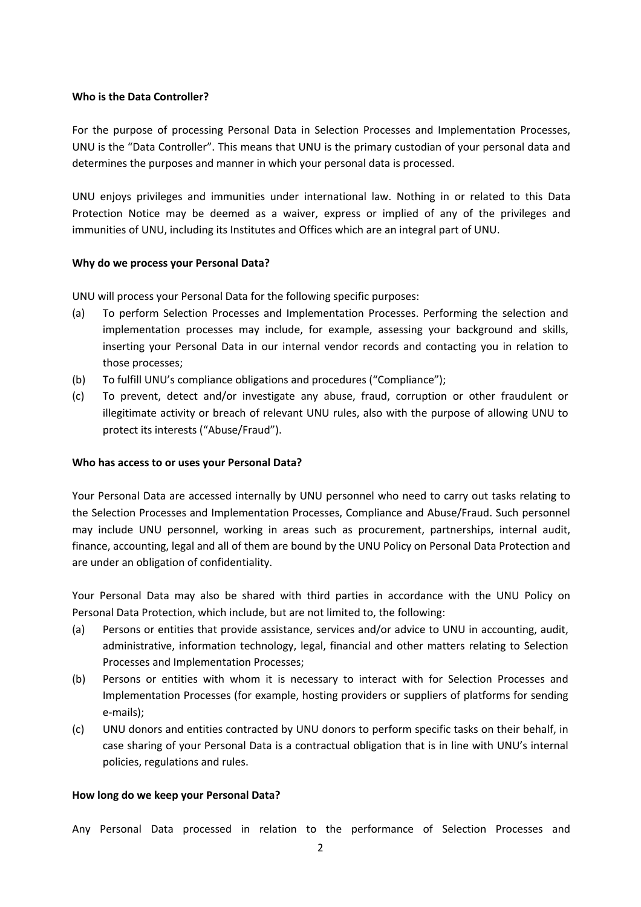### **Who is the Data Controller?**

For the purpose of processing Personal Data in Selection Processes and Implementation Processes, UNU is the "Data Controller". This means that UNU is the primary custodian of your personal data and determines the purposes and manner in which your personal data is processed.

UNU enjoys privileges and immunities under international law. Nothing in or related to this Data Protection Notice may be deemed as a waiver, express or implied of any of the privileges and immunities of UNU, including its Institutes and Offices which are an integral part of UNU.

### **Why do we process your Personal Data?**

UNU will process your Personal Data for the following specific purposes:

- (a) To perform Selection Processes and Implementation Processes. Performing the selection and implementation processes may include, for example, assessing your background and skills, inserting your Personal Data in our internal vendor records and contacting you in relation to those processes;
- (b) To fulfill UNU's compliance obligations and procedures ("Compliance");
- (c) To prevent, detect and/or investigate any abuse, fraud, corruption or other fraudulent or illegitimate activity or breach of relevant UNU rules, also with the purpose of allowing UNU to protect its interests ("Abuse/Fraud").

#### **Who has access to or uses your Personal Data?**

Your Personal Data are accessed internally by UNU personnel who need to carry out tasks relating to the Selection Processes and Implementation Processes, Compliance and Abuse/Fraud. Such personnel may include UNU personnel, working in areas such as procurement, partnerships, internal audit, finance, accounting, legal and all of them are bound by the UNU Policy on Personal Data Protection and are under an obligation of confidentiality.

Your Personal Data may also be shared with third parties in accordance with the UNU Policy on Personal Data Protection, which include, but are not limited to, the following:

- (a) Persons or entities that provide assistance, services and/or advice to UNU in accounting, audit, administrative, information technology, legal, financial and other matters relating to Selection Processes and Implementation Processes;
- (b) Persons or entities with whom it is necessary to interact with for Selection Processes and Implementation Processes (for example, hosting providers or suppliers of platforms for sending e-mails);
- (c) UNU donors and entities contracted by UNU donors to perform specific tasks on their behalf, in case sharing of your Personal Data is a contractual obligation that is in line with UNU's internal policies, regulations and rules.

#### **How long do we keep your Personal Data?**

Any Personal Data processed in relation to the performance of Selection Processes and